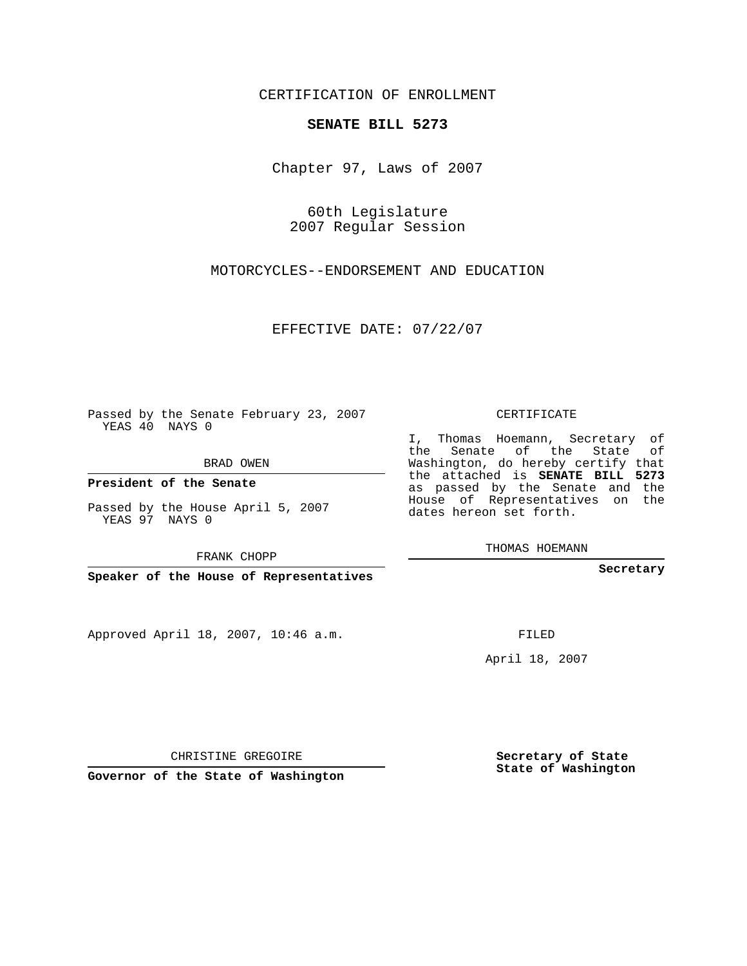CERTIFICATION OF ENROLLMENT

## **SENATE BILL 5273**

Chapter 97, Laws of 2007

60th Legislature 2007 Regular Session

MOTORCYCLES--ENDORSEMENT AND EDUCATION

EFFECTIVE DATE: 07/22/07

Passed by the Senate February 23, 2007 YEAS 40 NAYS 0

BRAD OWEN

**President of the Senate**

Passed by the House April 5, 2007 YEAS 97 NAYS 0

FRANK CHOPP

**Speaker of the House of Representatives**

Approved April 18, 2007, 10:46 a.m.

CERTIFICATE

I, Thomas Hoemann, Secretary of the Senate of the State of Washington, do hereby certify that the attached is **SENATE BILL 5273** as passed by the Senate and the House of Representatives on the dates hereon set forth.

THOMAS HOEMANN

**Secretary**

FILED

April 18, 2007

CHRISTINE GREGOIRE

**Governor of the State of Washington**

**Secretary of State State of Washington**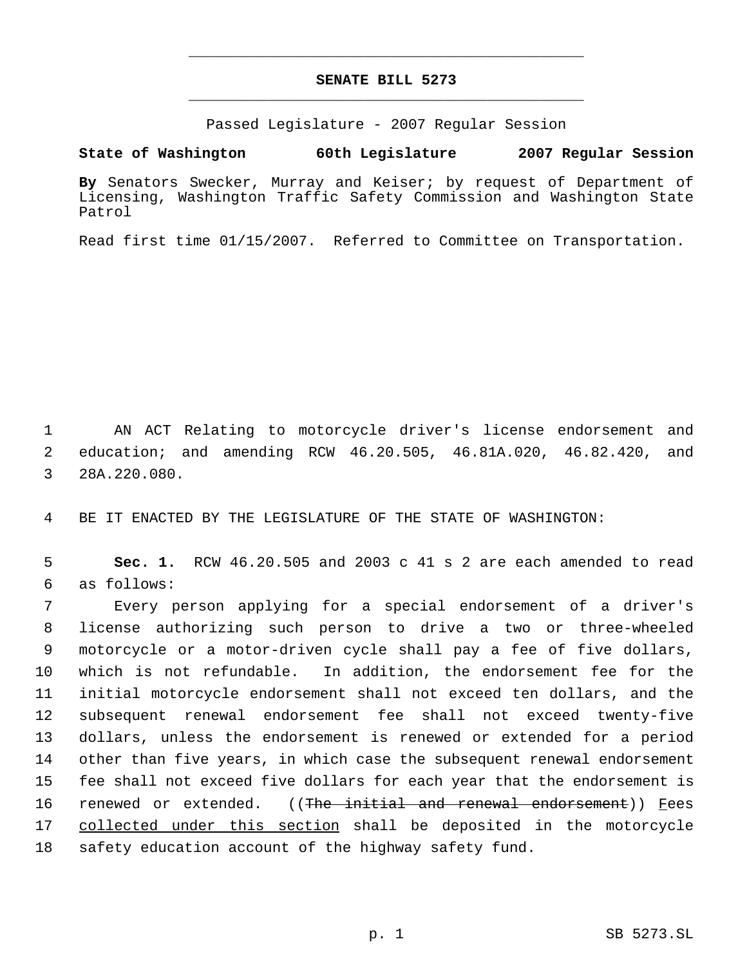## **SENATE BILL 5273** \_\_\_\_\_\_\_\_\_\_\_\_\_\_\_\_\_\_\_\_\_\_\_\_\_\_\_\_\_\_\_\_\_\_\_\_\_\_\_\_\_\_\_\_\_

\_\_\_\_\_\_\_\_\_\_\_\_\_\_\_\_\_\_\_\_\_\_\_\_\_\_\_\_\_\_\_\_\_\_\_\_\_\_\_\_\_\_\_\_\_

Passed Legislature - 2007 Regular Session

**State of Washington 60th Legislature 2007 Regular Session**

**By** Senators Swecker, Murray and Keiser; by request of Department of Licensing, Washington Traffic Safety Commission and Washington State Patrol

Read first time 01/15/2007. Referred to Committee on Transportation.

 AN ACT Relating to motorcycle driver's license endorsement and education; and amending RCW 46.20.505, 46.81A.020, 46.82.420, and 28A.220.080.

BE IT ENACTED BY THE LEGISLATURE OF THE STATE OF WASHINGTON:

 **Sec. 1.** RCW 46.20.505 and 2003 c 41 s 2 are each amended to read as follows:

 Every person applying for a special endorsement of a driver's license authorizing such person to drive a two or three-wheeled motorcycle or a motor-driven cycle shall pay a fee of five dollars, which is not refundable. In addition, the endorsement fee for the initial motorcycle endorsement shall not exceed ten dollars, and the subsequent renewal endorsement fee shall not exceed twenty-five dollars, unless the endorsement is renewed or extended for a period other than five years, in which case the subsequent renewal endorsement fee shall not exceed five dollars for each year that the endorsement is 16 renewed or extended. ((The initial and renewal endorsement)) Fees collected under this section shall be deposited in the motorcycle safety education account of the highway safety fund.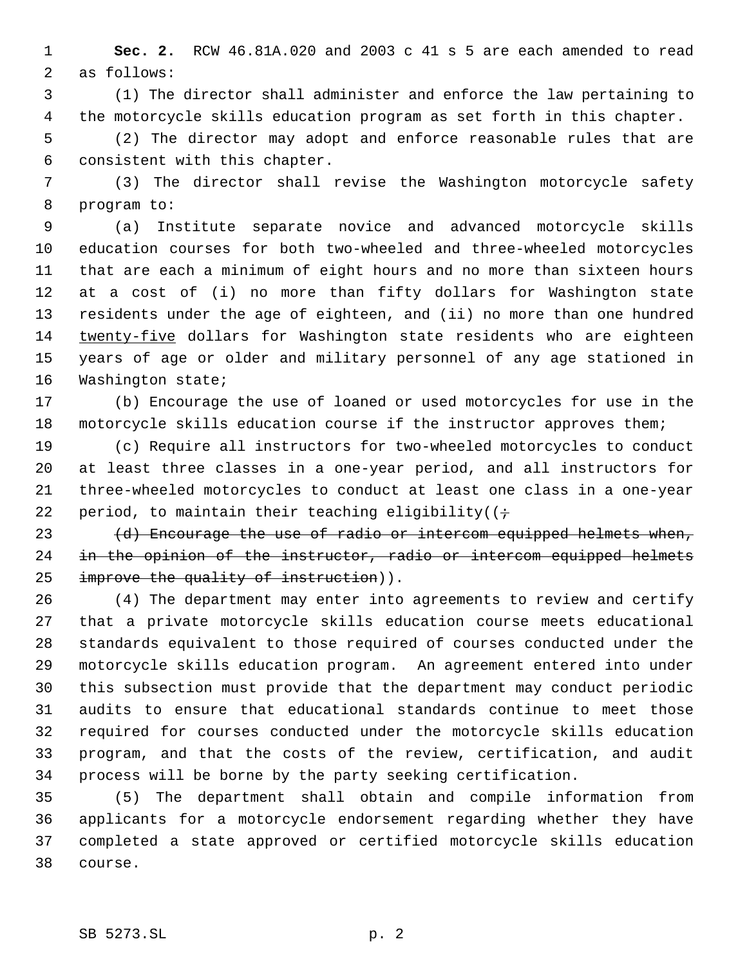**Sec. 2.** RCW 46.81A.020 and 2003 c 41 s 5 are each amended to read as follows:

 (1) The director shall administer and enforce the law pertaining to the motorcycle skills education program as set forth in this chapter.

 (2) The director may adopt and enforce reasonable rules that are consistent with this chapter.

 (3) The director shall revise the Washington motorcycle safety program to:

 (a) Institute separate novice and advanced motorcycle skills education courses for both two-wheeled and three-wheeled motorcycles that are each a minimum of eight hours and no more than sixteen hours at a cost of (i) no more than fifty dollars for Washington state residents under the age of eighteen, and (ii) no more than one hundred twenty-five dollars for Washington state residents who are eighteen years of age or older and military personnel of any age stationed in Washington state;

 (b) Encourage the use of loaned or used motorcycles for use in the motorcycle skills education course if the instructor approves them;

 (c) Require all instructors for two-wheeled motorcycles to conduct at least three classes in a one-year period, and all instructors for three-wheeled motorcycles to conduct at least one class in a one-year 22 period, to maintain their teaching eligibility( $(i \div j)$ 

23  $(d)$  Encourage the use of radio or intercom equipped helmets when, 24 in the opinion of the instructor, radio or intercom equipped helmets 25 improve the quality of instruction)).

 (4) The department may enter into agreements to review and certify that a private motorcycle skills education course meets educational standards equivalent to those required of courses conducted under the motorcycle skills education program. An agreement entered into under this subsection must provide that the department may conduct periodic audits to ensure that educational standards continue to meet those required for courses conducted under the motorcycle skills education program, and that the costs of the review, certification, and audit process will be borne by the party seeking certification.

 (5) The department shall obtain and compile information from applicants for a motorcycle endorsement regarding whether they have completed a state approved or certified motorcycle skills education course.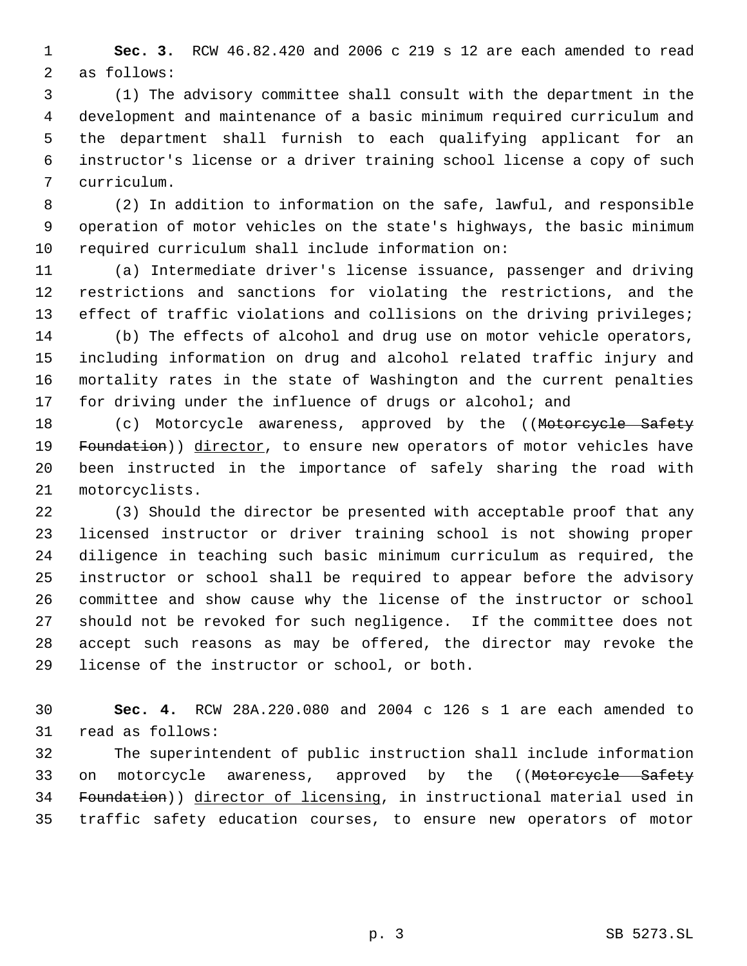**Sec. 3.** RCW 46.82.420 and 2006 c 219 s 12 are each amended to read as follows:

 (1) The advisory committee shall consult with the department in the development and maintenance of a basic minimum required curriculum and the department shall furnish to each qualifying applicant for an instructor's license or a driver training school license a copy of such curriculum.

 (2) In addition to information on the safe, lawful, and responsible operation of motor vehicles on the state's highways, the basic minimum required curriculum shall include information on:

 (a) Intermediate driver's license issuance, passenger and driving restrictions and sanctions for violating the restrictions, and the 13 effect of traffic violations and collisions on the driving privileges;

 (b) The effects of alcohol and drug use on motor vehicle operators, including information on drug and alcohol related traffic injury and mortality rates in the state of Washington and the current penalties 17 for driving under the influence of drugs or alcohol; and

18 (c) Motorcycle awareness, approved by the ((Motorcycle Safety 19 Foundation)) director, to ensure new operators of motor vehicles have been instructed in the importance of safely sharing the road with motorcyclists.

 (3) Should the director be presented with acceptable proof that any licensed instructor or driver training school is not showing proper diligence in teaching such basic minimum curriculum as required, the instructor or school shall be required to appear before the advisory committee and show cause why the license of the instructor or school should not be revoked for such negligence. If the committee does not accept such reasons as may be offered, the director may revoke the license of the instructor or school, or both.

 **Sec. 4.** RCW 28A.220.080 and 2004 c 126 s 1 are each amended to read as follows:

 The superintendent of public instruction shall include information 33 on motorcycle awareness, approved by the ((Motorcycle Safety Foundation)) director of licensing, in instructional material used in traffic safety education courses, to ensure new operators of motor